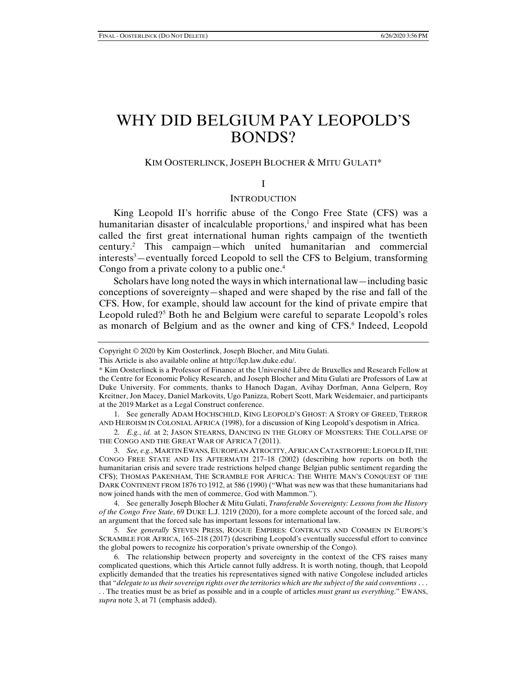# WHY DID BELGIUM PAY LEOPOLD'S BONDS?

# KIM OOSTERLINCK, JOSEPH BLOCHER & MITU GULATI\*

# I

## **INTRODUCTION**

King Leopold II's horrific abuse of the Congo Free State (CFS) was a humanitarian disaster of incalculable proportions,<sup>1</sup> and inspired what has been called the first great international human rights campaign of the twentieth century.2 This campaign—which united humanitarian and commercial interests<sup>3</sup> – eventually forced Leopold to sell the CFS to Belgium, transforming Congo from a private colony to a public one.<sup>4</sup>

Scholars have long noted the ways in which international law—including basic conceptions of sovereignty—shaped and were shaped by the rise and fall of the CFS. How, for example, should law account for the kind of private empire that Leopold ruled?<sup>5</sup> Both he and Belgium were careful to separate Leopold's roles as monarch of Belgium and as the owner and king of CFS.<sup>6</sup> Indeed, Leopold

 1. See generally ADAM HOCHSCHILD, KING LEOPOLD'S GHOST: A STORY OF GREED, TERROR AND HEROISM IN COLONIAL AFRICA (1998), for a discussion of King Leopold's despotism in Africa.

 2. *E.g.*, *id.* at 2; JASON STEARNS, DANCING IN THE GLORY OF MONSTERS: THE COLLAPSE OF THE CONGO AND THE GREAT WAR OF AFRICA 7 (2011).

 3. *See, e.g.*, MARTIN EWANS, EUROPEAN ATROCITY, AFRICAN CATASTROPHE:LEOPOLD II, THE CONGO FREE STATE AND ITS AFTERMATH 217–18 (2002) (describing how reports on both the humanitarian crisis and severe trade restrictions helped change Belgian public sentiment regarding the CFS); THOMAS PAKENHAM, THE SCRAMBLE FOR AFRICA: THE WHITE MAN'S CONQUEST OF THE DARK CONTINENT FROM 1876 TO 1912, at 586 (1990) ("What was new was that these humanitarians had now joined hands with the men of commerce, God with Mammon.").

 4. See generally Joseph Blocher & Mitu Gulati, *Transferable Sovereignty: Lessons from the History of the Congo Free State*, 69 DUKE L.J. 1219 (2020), for a more complete account of the forced sale, and an argument that the forced sale has important lessons for international law.

 5. *See generally* STEVEN PRESS, ROGUE EMPIRES: CONTRACTS AND CONMEN IN EUROPE'S SCRAMBLE FOR AFRICA, 165–218 (2017) (describing Leopold's eventually successful effort to convince the global powers to recognize his corporation's private ownership of the Congo).

 6. The relationship between property and sovereignty in the context of the CFS raises many complicated questions, which this Article cannot fully address. It is worth noting, though, that Leopold explicitly demanded that the treaties his representatives signed with native Congolese included articles that "*delegate to us their sovereign rights over the territories which are the subject of the said conventions* . . .

. . The treaties must be as brief as possible and in a couple of articles *must grant us everything*." EWANS, *supra* note 3, at 71 (emphasis added).

Copyright © 2020 by Kim Oosterlinck, Joseph Blocher, and Mitu Gulati.

This Article is also available online at http://lcp.law.duke.edu/.

<sup>\*</sup> Kim Oosterlinck is a Professor of Finance at the Université Libre de Bruxelles and Research Fellow at the Centre for Economic Policy Research, and Joseph Blocher and Mitu Gulati are Professors of Law at Duke University. For comments, thanks to Hanoch Dagan, Avihay Dorfman, Anna Gelpern, Roy Kreitner, Jon Macey, Daniel Markovits, Ugo Panizza, Robert Scott, Mark Weidemaier, and participants at the 2019 Market as a Legal Construct conference.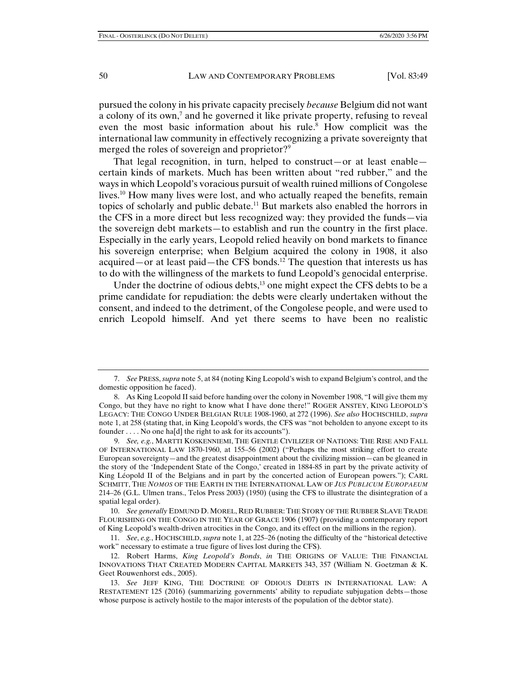pursued the colony in his private capacity precisely *because* Belgium did not want a colony of its own,<sup>7</sup> and he governed it like private property, refusing to reveal even the most basic information about his rule.<sup>8</sup> How complicit was the international law community in effectively recognizing a private sovereignty that merged the roles of sovereign and proprietor?<sup>9</sup>

That legal recognition, in turn, helped to construct—or at least enable certain kinds of markets. Much has been written about "red rubber," and the ways in which Leopold's voracious pursuit of wealth ruined millions of Congolese lives.<sup>10</sup> How many lives were lost, and who actually reaped the benefits, remain topics of scholarly and public debate.11 But markets also enabled the horrors in the CFS in a more direct but less recognized way: they provided the funds—via the sovereign debt markets—to establish and run the country in the first place. Especially in the early years, Leopold relied heavily on bond markets to finance his sovereign enterprise; when Belgium acquired the colony in 1908, it also acquired—or at least paid—the CFS bonds.12 The question that interests us has to do with the willingness of the markets to fund Leopold's genocidal enterprise.

Under the doctrine of odious debts,<sup>13</sup> one might expect the CFS debts to be a prime candidate for repudiation: the debts were clearly undertaken without the consent, and indeed to the detriment, of the Congolese people, and were used to enrich Leopold himself. And yet there seems to have been no realistic

 10. *See generally* EDMUND D. MOREL, RED RUBBER: THE STORY OF THE RUBBER SLAVE TRADE FLOURISHING ON THE CONGO IN THE YEAR OF GRACE 1906 (1907) (providing a contemporary report of King Leopold's wealth-driven atrocities in the Congo, and its effect on the millions in the region).

 11. *See*, *e.g.*, HOCHSCHILD, *supra* note 1, at 225–26 (noting the difficulty of the "historical detective work" necessary to estimate a true figure of lives lost during the CFS).

 <sup>7.</sup> *See* PRESS, *supra* note 5, at 84 (noting King Leopold's wish to expand Belgium's control, and the domestic opposition he faced).

 <sup>8.</sup> As King Leopold II said before handing over the colony in November 1908, "I will give them my Congo, but they have no right to know what I have done there!" ROGER ANSTEY, KING LEOPOLD'S LEGACY: THE CONGO UNDER BELGIAN RULE 1908-1960, at 272 (1996). *See also* HOCHSCHILD, *supra*  note 1, at 258 (stating that, in King Leopold's words, the CFS was "not beholden to anyone except to its founder . . . . No one ha[d] the right to ask for its accounts").

 <sup>9.</sup> *See, e.g.*, MARTTI KOSKENNIEMI, THE GENTLE CIVILIZER OF NATIONS: THE RISE AND FALL OF INTERNATIONAL LAW 1870-1960, at 155–56 (2002) ("Perhaps the most striking effort to create European sovereignty—and the greatest disappointment about the civilizing mission—can be gleaned in the story of the 'Independent State of the Congo,' created in 1884-85 in part by the private activity of King Léopold II of the Belgians and in part by the concerted action of European powers."); CARL SCHMITT, THE *NOMOS* OF THE EARTH IN THE INTERNATIONAL LAW OF *JUS PUBLICUM EUROPAEUM* 214–26 (G.L. Ulmen trans., Telos Press 2003) (1950) (using the CFS to illustrate the disintegration of a spatial legal order).

 <sup>12.</sup> Robert Harms, *King Leopold's Bonds*, *in* THE ORIGINS OF VALUE: THE FINANCIAL INNOVATIONS THAT CREATED MODERN CAPITAL MARKETS 343, 357 (William N. Goetzman & K. Geet Rouwenhorst eds., 2005).

 <sup>13.</sup> *See* JEFF KING, THE DOCTRINE OF ODIOUS DEBTS IN INTERNATIONAL LAW: A RESTATEMENT 125 (2016) (summarizing governments' ability to repudiate subjugation debts—those whose purpose is actively hostile to the major interests of the population of the debtor state).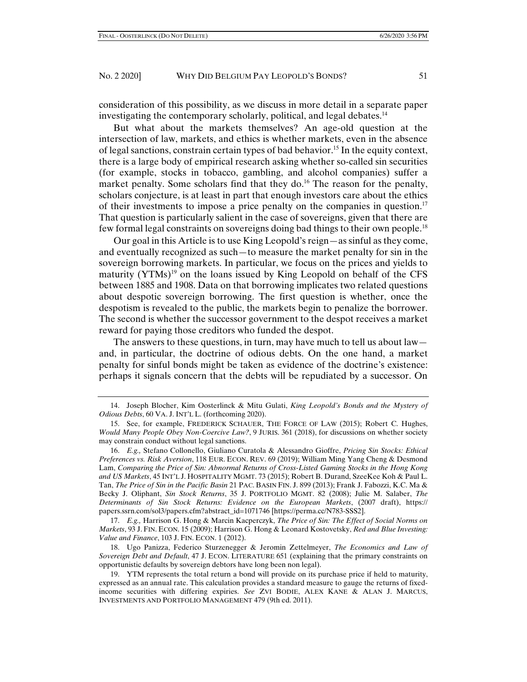consideration of this possibility, as we discuss in more detail in a separate paper investigating the contemporary scholarly, political, and legal debates.<sup>14</sup>

But what about the markets themselves? An age-old question at the intersection of law, markets, and ethics is whether markets, even in the absence of legal sanctions, constrain certain types of bad behavior.15 In the equity context, there is a large body of empirical research asking whether so-called sin securities (for example, stocks in tobacco, gambling, and alcohol companies) suffer a market penalty. Some scholars find that they do.<sup>16</sup> The reason for the penalty, scholars conjecture, is at least in part that enough investors care about the ethics of their investments to impose a price penalty on the companies in question.17 That question is particularly salient in the case of sovereigns, given that there are few formal legal constraints on sovereigns doing bad things to their own people.18

Our goal in this Article is to use King Leopold's reign—as sinful as they come, and eventually recognized as such—to measure the market penalty for sin in the sovereign borrowing markets. In particular, we focus on the prices and yields to maturity  $(YTMs)^{19}$  on the loans issued by King Leopold on behalf of the CFS between 1885 and 1908. Data on that borrowing implicates two related questions about despotic sovereign borrowing. The first question is whether, once the despotism is revealed to the public, the markets begin to penalize the borrower. The second is whether the successor government to the despot receives a market reward for paying those creditors who funded the despot.

The answers to these questions, in turn, may have much to tell us about law and, in particular, the doctrine of odious debts. On the one hand, a market penalty for sinful bonds might be taken as evidence of the doctrine's existence: perhaps it signals concern that the debts will be repudiated by a successor. On

 <sup>14.</sup> Joseph Blocher, Kim Oosterlinck & Mitu Gulati, *King Leopold's Bonds and the Mystery of Odious Debts*, 60 VA. J. INT'L L. (forthcoming 2020).

 <sup>15.</sup> See, for example, FREDERICK SCHAUER, THE FORCE OF LAW (2015); Robert C. Hughes, *Would Many People Obey Non-Coercive Law?*, 9 JURIS. 361 (2018), for discussions on whether society may constrain conduct without legal sanctions.

 <sup>16.</sup> *E.g.,* Stefano Collonello, Giuliano Curatola & Alessandro Gioffre, *Pricing Sin Stocks: Ethical Preferences vs. Risk Aversion*, 118 EUR. ECON. REV. 69 (2019); William Ming Yang Cheng & Desmond Lam, *Comparing the Price of Sin: Abnormal Returns of Cross-Listed Gaming Stocks in the Hong Kong and US Markets*, 45 INT'L J. HOSPITALITY MGMT. 73 (2015); Robert B. Durand, SzeeKee Koh & Paul L. Tan, *The Price of Sin in the Pacific Basin* 21 PAC. BASIN FIN. J. 899 (2013); Frank J. Fabozzi, K.C. Ma & Becky J. Oliphant, *Sin Stock Returns*, 35 J. PORTFOLIO MGMT. 82 (2008); Julie M. Salaber, *The Determinants of Sin Stock Returns: Evidence on the European Markets*, (2007 draft), https:// papers.ssrn.com/sol3/papers.cfm?abstract\_id=1071746 [https://perma.cc/N783-SSS2].

 <sup>17.</sup> *E.g.,* Harrison G. Hong & Marcin Kacperczyk, *The Price of Sin: The Effect of Social Norms on Markets*, 93 J. FIN. ECON. 15 (2009); Harrison G. Hong & Leonard Kostovetsky, *Red and Blue Investing: Value and Finance*, 103 J. FIN. ECON. 1 (2012).

 <sup>18.</sup> Ugo Panizza, Federico Sturzenegger & Jeromin Zettelmeyer, *The Economics and Law of Sovereign Debt and Default*, 47 J. ECON. LITERATURE 651 (explaining that the primary constraints on opportunistic defaults by sovereign debtors have long been non legal).

 <sup>19.</sup> YTM represents the total return a bond will provide on its purchase price if held to maturity, expressed as an annual rate. This calculation provides a standard measure to gauge the returns of fixedincome securities with differing expiries. *See* ZVI BODIE, ALEX KANE & ALAN J. MARCUS, INVESTMENTS AND PORTFOLIO MANAGEMENT 479 (9th ed. 2011).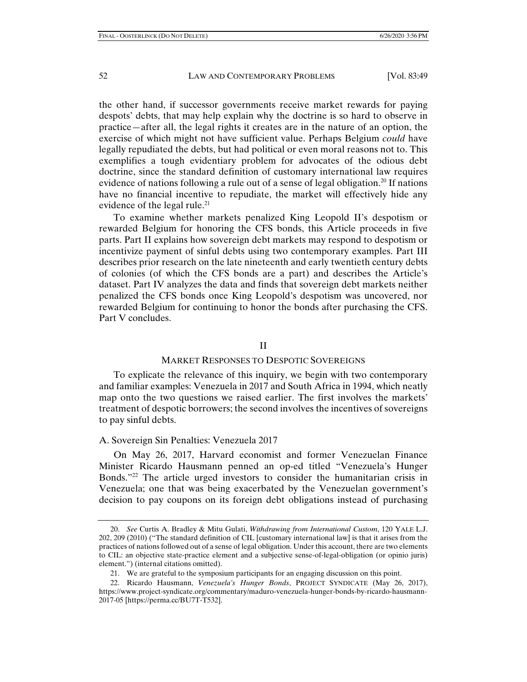the other hand, if successor governments receive market rewards for paying despots' debts, that may help explain why the doctrine is so hard to observe in practice—after all, the legal rights it creates are in the nature of an option, the exercise of which might not have sufficient value. Perhaps Belgium *could* have legally repudiated the debts, but had political or even moral reasons not to. This exemplifies a tough evidentiary problem for advocates of the odious debt doctrine, since the standard definition of customary international law requires evidence of nations following a rule out of a sense of legal obligation.<sup>20</sup> If nations have no financial incentive to repudiate, the market will effectively hide any evidence of the legal rule.<sup>21</sup>

To examine whether markets penalized King Leopold II's despotism or rewarded Belgium for honoring the CFS bonds, this Article proceeds in five parts. Part II explains how sovereign debt markets may respond to despotism or incentivize payment of sinful debts using two contemporary examples. Part III describes prior research on the late nineteenth and early twentieth century debts of colonies (of which the CFS bonds are a part) and describes the Article's dataset. Part IV analyzes the data and finds that sovereign debt markets neither penalized the CFS bonds once King Leopold's despotism was uncovered, nor rewarded Belgium for continuing to honor the bonds after purchasing the CFS. Part V concludes.

## II

### MARKET RESPONSES TO DESPOTIC SOVEREIGNS

To explicate the relevance of this inquiry, we begin with two contemporary and familiar examples: Venezuela in 2017 and South Africa in 1994, which neatly map onto the two questions we raised earlier. The first involves the markets' treatment of despotic borrowers; the second involves the incentives of sovereigns to pay sinful debts.

## A. Sovereign Sin Penalties: Venezuela 2017

On May 26, 2017, Harvard economist and former Venezuelan Finance Minister Ricardo Hausmann penned an op-ed titled "Venezuela's Hunger Bonds."22 The article urged investors to consider the humanitarian crisis in Venezuela; one that was being exacerbated by the Venezuelan government's decision to pay coupons on its foreign debt obligations instead of purchasing

 <sup>20.</sup> *See* Curtis A. Bradley & Mitu Gulati, *Withdrawing from International Custom*, 120 YALE L.J. 202, 209 (2010) ("The standard definition of CIL [customary international law] is that it arises from the practices of nations followed out of a sense of legal obligation. Under this account, there are two elements to CIL: an objective state-practice element and a subjective sense-of-legal-obligation (or opinio juris) element.") (internal citations omitted).

 <sup>21.</sup> We are grateful to the symposium participants for an engaging discussion on this point.

 <sup>22.</sup> Ricardo Hausmann, *Venezuela's Hunger Bonds*, PROJECT SYNDICATE (May 26, 2017), https://www.project-syndicate.org/commentary/maduro-venezuela-hunger-bonds-by-ricardo-hausmann-2017-05 [https://perma.cc/BU7T-T532].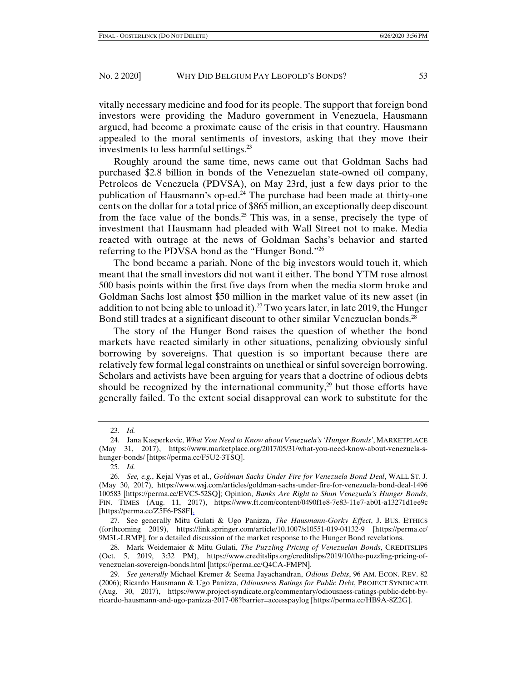vitally necessary medicine and food for its people. The support that foreign bond investors were providing the Maduro government in Venezuela, Hausmann argued, had become a proximate cause of the crisis in that country. Hausmann appealed to the moral sentiments of investors, asking that they move their investments to less harmful settings.23

Roughly around the same time, news came out that Goldman Sachs had purchased \$2.8 billion in bonds of the Venezuelan state-owned oil company, Petroleos de Venezuela (PDVSA), on May 23rd, just a few days prior to the publication of Hausmann's op-ed.<sup>24</sup> The purchase had been made at thirty-one cents on the dollar for a total price of \$865 million, an exceptionally deep discount from the face value of the bonds.<sup>25</sup> This was, in a sense, precisely the type of investment that Hausmann had pleaded with Wall Street not to make. Media reacted with outrage at the news of Goldman Sachs's behavior and started referring to the PDVSA bond as the "Hunger Bond."26

The bond became a pariah. None of the big investors would touch it, which meant that the small investors did not want it either. The bond YTM rose almost 500 basis points within the first five days from when the media storm broke and Goldman Sachs lost almost \$50 million in the market value of its new asset (in addition to not being able to unload it).<sup>27</sup> Two years later, in late 2019, the Hunger Bond still trades at a significant discount to other similar Venezuelan bonds.<sup>28</sup>

The story of the Hunger Bond raises the question of whether the bond markets have reacted similarly in other situations, penalizing obviously sinful borrowing by sovereigns. That question is so important because there are relatively few formal legal constraints on unethical or sinful sovereign borrowing. Scholars and activists have been arguing for years that a doctrine of odious debts should be recognized by the international community, $29$  but those efforts have generally failed. To the extent social disapproval can work to substitute for the

 <sup>23.</sup> *Id.*

 <sup>24.</sup> Jana Kasperkevic, *What You Need to Know about Venezuela's 'Hunger Bonds'*, MARKETPLACE (May 31, 2017), https://www.marketplace.org/2017/05/31/what-you-need-know-about-venezuela-shunger-bonds/ [https://perma.cc/F5U2-3TSQ].

 <sup>25.</sup> *Id.*

 <sup>26.</sup> *See, e.g.*, Kejal Vyas et al., *Goldman Sachs Under Fire for Venezuela Bond Deal*, WALL ST. J. (May 30, 2017), https://www.wsj.com/articles/goldman-sachs-under-fire-for-venezuela-bond-deal-1496 100583 [https://perma.cc/EVC5-52SQ]; Opinion, *Banks Are Right to Shun Venezuela's Hunger Bonds*, FIN. TIMES (Aug. 11, 2017), https://www.ft.com/content/0490f1e8-7e83-11e7-ab01-a13271d1ee9c [https://perma.cc/Z5F6-PS8F].

 <sup>27.</sup> See generally Mitu Gulati & Ugo Panizza, *The Hausmann-Gorky Effect*, J. BUS. ETHICS (forthcoming 2019), https://link.springer.com/article/10.1007/s10551-019-04132-9 [https://perma.cc/ 9M3L-LRMP], for a detailed discussion of the market response to the Hunger Bond revelations.

 <sup>28.</sup> Mark Weidemaier & Mitu Gulati, *The Puzzling Pricing of Venezuelan Bonds*, CREDITSLIPS (Oct. 5, 2019, 3:32 PM), https://www.creditslips.org/creditslips/2019/10/the-puzzling-pricing-ofvenezuelan-sovereign-bonds.html [https://perma.cc/Q4CA-FMPN].

 <sup>29.</sup> *See generally* Michael Kremer & Seema Jayachandran, *Odious Debts*, 96 AM. ECON. REV. 82 (2006); Ricardo Hausmann & Ugo Panizza, *Odiousness Ratings for Public Debt*, PROJECT SYNDICATE (Aug. 30, 2017), https://www.project-syndicate.org/commentary/odiousness-ratings-public-debt-byricardo-hausmann-and-ugo-panizza-2017-08?barrier=accesspaylog [https://perma.cc/HB9A-8Z2G].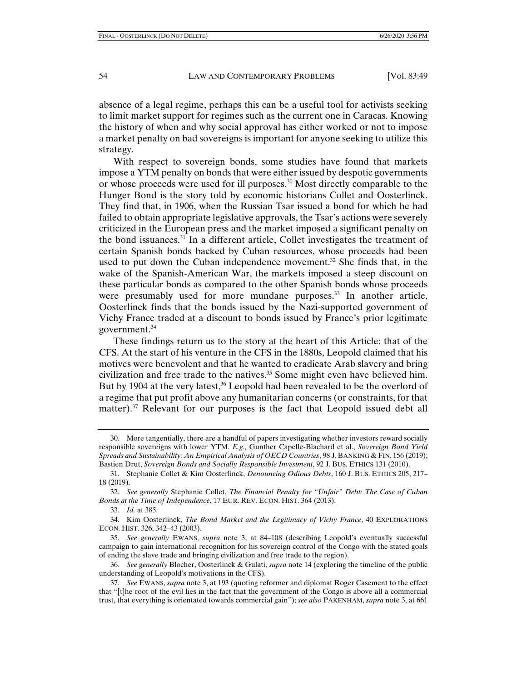absence of a legal regime, perhaps this can be a useful tool for activists seeking to limit market support for regimes such as the current one in Caracas. Knowing the history of when and why social approval has either worked or not to impose a market penalty on bad sovereigns is important for anyone seeking to utilize this strategy.

With respect to sovereign bonds, some studies have found that markets impose a YTM penalty on bonds that were either issued by despotic governments or whose proceeds were used for ill purposes.<sup>30</sup> Most directly comparable to the Hunger Bond is the story told by economic historians Collet and Oosterlinck. They find that, in 1906, when the Russian Tsar issued a bond for which he had failed to obtain appropriate legislative approvals, the Tsar's actions were severely criticized in the European press and the market imposed a significant penalty on the bond issuances. $31$  In a different article, Collet investigates the treatment of certain Spanish bonds backed by Cuban resources, whose proceeds had been used to put down the Cuban independence movement.<sup>32</sup> She finds that, in the wake of the Spanish-American War, the markets imposed a steep discount on these particular bonds as compared to the other Spanish bonds whose proceeds were presumably used for more mundane purposes. $33$  In another article, Oosterlinck finds that the bonds issued by the Nazi-supported government of Vichy France traded at a discount to bonds issued by France's prior legitimate government.<sup>34</sup>

These findings return us to the story at the heart of this Article: that of the CFS. At the start of his venture in the CFS in the 1880s, Leopold claimed that his motives were benevolent and that he wanted to eradicate Arab slavery and bring civilization and free trade to the natives.<sup>35</sup> Some might even have believed him. But by 1904 at the very latest,<sup>36</sup> Leopold had been revealed to be the overlord of a regime that put profit above any humanitarian concerns (or constraints, for that matter).<sup>37</sup> Relevant for our purposes is the fact that Leopold issued debt all

 37. *See* EWANS, *supra* note 3, at 193 (quoting reformer and diplomat Roger Casement to the effect that "[t]he root of the evil lies in the fact that the government of the Congo is above all a commercial trust, that everything is orientated towards commercial gain"); *see also* PAKENHAM, *supra* note 3, at 661

 <sup>30.</sup> More tangentially, there are a handful of papers investigating whether investors reward socially responsible sovereigns with lower YTM. *E.g.,* Gunther Capelle-Blachard et al., *Sovereign Bond Yield Spreads and Sustainability: An Empirical Analysis of OECD Countries*, 98 J. BANKING & FIN. 156 (2019); Bastien Drut, *Sovereign Bonds and Socially Responsible Investment*, 92 J. BUS. ETHICS 131 (2010).

 <sup>31.</sup> Stephanie Collet & Kim Oosterlinck, *Denouncing Odious Debts*, 160 J. BUS. ETHICS 205, 217– 18 (2019).

 <sup>32.</sup> *See generally* Stephanie Collet, *The Financial Penalty for "Unfair" Debt: The Case of Cuban Bonds at the Time of Independence*, 17 EUR. REV. ECON. HIST. 364 (2013).

 <sup>33.</sup> *Id.* at 385.

 <sup>34.</sup> Kim Oosterlinck, *The Bond Market and the Legitimacy of Vichy France*, 40 EXPLORATIONS ECON. HIST. 326, 342–43 (2003).

 <sup>35.</sup> *See generally* EWANS, *supra* note 3, at 84–108 (describing Leopold's eventually successful campaign to gain international recognition for his sovereign control of the Congo with the stated goals of ending the slave trade and bringing civilization and free trade to the region).

 <sup>36.</sup> *See generally* Blocher, Oosterlinck & Gulati, *supra* note 14 (exploring the timeline of the public understanding of Leopold's motivations in the CFS).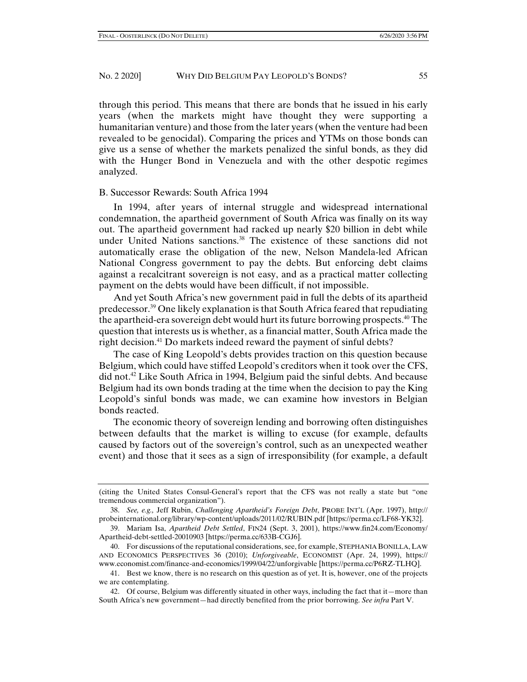through this period. This means that there are bonds that he issued in his early years (when the markets might have thought they were supporting a humanitarian venture) and those from the later years (when the venture had been revealed to be genocidal). Comparing the prices and YTMs on those bonds can give us a sense of whether the markets penalized the sinful bonds, as they did with the Hunger Bond in Venezuela and with the other despotic regimes analyzed.

## B. Successor Rewards: South Africa 1994

In 1994, after years of internal struggle and widespread international condemnation, the apartheid government of South Africa was finally on its way out. The apartheid government had racked up nearly \$20 billion in debt while under United Nations sanctions.<sup>38</sup> The existence of these sanctions did not automatically erase the obligation of the new, Nelson Mandela-led African National Congress government to pay the debts. But enforcing debt claims against a recalcitrant sovereign is not easy, and as a practical matter collecting payment on the debts would have been difficult, if not impossible.

And yet South Africa's new government paid in full the debts of its apartheid predecessor.39 One likely explanation is that South Africa feared that repudiating the apartheid-era sovereign debt would hurt its future borrowing prospects.<sup>40</sup> The question that interests us is whether, as a financial matter, South Africa made the right decision.<sup>41</sup> Do markets indeed reward the payment of sinful debts?

The case of King Leopold's debts provides traction on this question because Belgium, which could have stiffed Leopold's creditors when it took over the CFS, did not.42 Like South Africa in 1994, Belgium paid the sinful debts. And because Belgium had its own bonds trading at the time when the decision to pay the King Leopold's sinful bonds was made, we can examine how investors in Belgian bonds reacted.

The economic theory of sovereign lending and borrowing often distinguishes between defaults that the market is willing to excuse (for example, defaults caused by factors out of the sovereign's control, such as an unexpected weather event) and those that it sees as a sign of irresponsibility (for example, a default

<sup>(</sup>citing the United States Consul-General's report that the CFS was not really a state but "one tremendous commercial organization").

 <sup>38.</sup> *See, e.g.,* Jeff Rubin, *Challenging Apartheid's Foreign Debt*, PROBE INT'L (Apr. 1997), http:// probeinternational.org/library/wp-content/uploads/2011/02/RUBIN.pdf [https://perma.cc/LF68-YK32].

 <sup>39.</sup> Mariam Isa, *Apartheid Debt Settled*, FIN24 (Sept. 3, 2001), https://www.fin24.com/Economy/ Apartheid-debt-settled-20010903 [https://perma.cc/633B-CGJ6].

 <sup>40.</sup> For discussions of the reputational considerations, see, for example, STEPHANIA BONILLA, LAW AND ECONOMICS PERSPECTIVES 36 (2010); *Unforgiveable*, ECONOMIST (Apr. 24, 1999), https:// www.economist.com/finance-and-economics/1999/04/22/unforgivable [https://perma.cc/P6RZ-TLHQ].

 <sup>41.</sup> Best we know, there is no research on this question as of yet. It is, however, one of the projects we are contemplating.

 <sup>42.</sup> Of course, Belgium was differently situated in other ways, including the fact that it—more than South Africa's new government—had directly benefited from the prior borrowing. *See infra* Part V.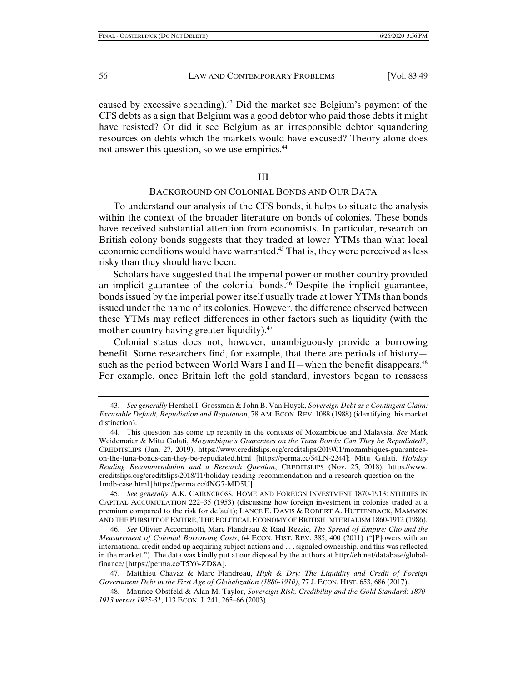caused by excessive spending).43 Did the market see Belgium's payment of the CFS debts as a sign that Belgium was a good debtor who paid those debts it might have resisted? Or did it see Belgium as an irresponsible debtor squandering resources on debts which the markets would have excused? Theory alone does not answer this question, so we use empirics.<sup>44</sup>

# III

# BACKGROUND ON COLONIAL BONDS AND OUR DATA

To understand our analysis of the CFS bonds, it helps to situate the analysis within the context of the broader literature on bonds of colonies. These bonds have received substantial attention from economists. In particular, research on British colony bonds suggests that they traded at lower YTMs than what local economic conditions would have warranted.<sup>45</sup> That is, they were perceived as less risky than they should have been.

Scholars have suggested that the imperial power or mother country provided an implicit guarantee of the colonial bonds.<sup>46</sup> Despite the implicit guarantee, bonds issued by the imperial power itself usually trade at lower YTMs than bonds issued under the name of its colonies. However, the difference observed between these YTMs may reflect differences in other factors such as liquidity (with the mother country having greater liquidity).<sup>47</sup>

Colonial status does not, however, unambiguously provide a borrowing benefit. Some researchers find, for example, that there are periods of history such as the period between World Wars I and II—when the benefit disappears.<sup>48</sup> For example, once Britain left the gold standard, investors began to reassess

 45. *See generally* A.K. CAIRNCROSS, HOME AND FOREIGN INVESTMENT 1870-1913: STUDIES IN CAPITAL ACCUMULATION 222–35 (1953) (discussing how foreign investment in colonies traded at a premium compared to the risk for default); LANCE E. DAVIS & ROBERT A. HUTTENBACK, MAMMON AND THE PURSUIT OF EMPIRE, THE POLITICAL ECONOMY OF BRITISH IMPERIALISM 1860-1912 (1986).

 46. *See* Olivier Accominotti, Marc Flandreau & Riad Rezzic, *The Spread of Empire: Clio and the Measurement of Colonial Borrowing Costs*, 64 ECON. HIST. REV. 385, 400 (2011) ("[P]owers with an international credit ended up acquiring subject nations and . . . signaled ownership, and this was reflected in the market."). The data was kindly put at our disposal by the authors at http://eh.net/database/globalfinance/ [https://perma.cc/T5Y6-ZD8A].

 <sup>43.</sup> *See generally* Hershel I. Grossman & John B. Van Huyck, *Sovereign Debt as a Contingent Claim: Excusable Default, Repudiation and Reputation*, 78 AM. ECON. REV. 1088 (1988) (identifying this market distinction).

 <sup>44.</sup> This question has come up recently in the contexts of Mozambique and Malaysia. *See* Mark Weidemaier & Mitu Gulati, *Mozambique's Guarantees on the Tuna Bonds: Can They be Repudiated?*, CREDITSLIPS (Jan. 27, 2019), https://www.creditslips.org/creditslips/2019/01/mozambiques-guaranteeson-the-tuna-bonds-can-they-be-repudiated.html [https://perma.cc/54LN-2244]; Mitu Gulati, *Holiday Reading Recommendation and a Research Question*, CREDITSLIPS (Nov. 25, 2018), https://www. creditslips.org/creditslips/2018/11/holiday-reading-recommendation-and-a-research-question-on-the-1mdb-case.html [https://perma.cc/4NG7-MD5U].

 <sup>47.</sup> Matthieu Chavaz & Marc Flandreau, *High & Dry: The Liquidity and Credit of Foreign Government Debt in the First Age of Globalization (1880-1910)*, 77 J. ECON. HIST. 653, 686 (2017).

 <sup>48.</sup> Maurice Obstfeld & Alan M. Taylor, *Sovereign Risk, Credibility and the Gold Standard*: *1870- 1913 versus 1925-31*, 113 ECON. J. 241, 265–66 (2003).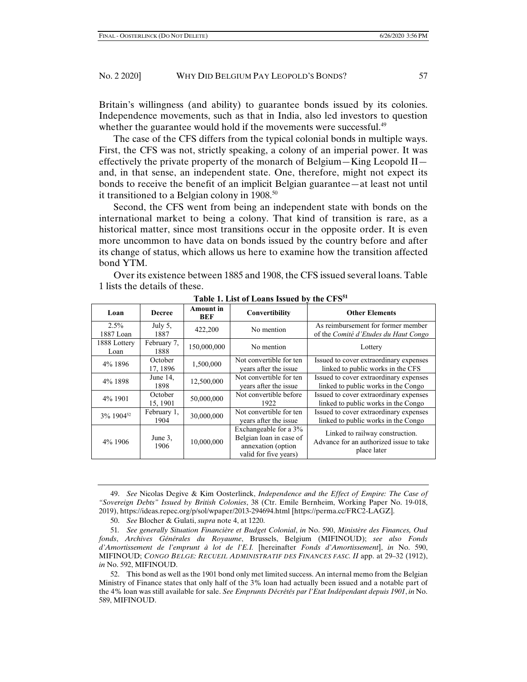Britain's willingness (and ability) to guarantee bonds issued by its colonies. Independence movements, such as that in India, also led investors to question whether the guarantee would hold if the movements were successful.<sup>49</sup>

The case of the CFS differs from the typical colonial bonds in multiple ways. First, the CFS was not, strictly speaking, a colony of an imperial power. It was effectively the private property of the monarch of Belgium—King Leopold II and, in that sense, an independent state. One, therefore, might not expect its bonds to receive the benefit of an implicit Belgian guarantee—at least not until it transitioned to a Belgian colony in 1908.<sup>50</sup>

Second, the CFS went from being an independent state with bonds on the international market to being a colony. That kind of transition is rare, as a historical matter, since most transitions occur in the opposite order. It is even more uncommon to have data on bonds issued by the country before and after its change of status, which allows us here to examine how the transition affected bond YTM.

Over its existence between 1885 and 1908, the CFS issued several loans. Table 1 lists the details of these.

| Loan                  | <b>Decree</b>       | <b>Amount</b> in<br>BEF | Convertibility                                                                                  | <b>Other Elements</b>                                                                     |
|-----------------------|---------------------|-------------------------|-------------------------------------------------------------------------------------------------|-------------------------------------------------------------------------------------------|
| $2.5\%$<br>1887 Loan  | July $5$ ,<br>1887  | 422,200                 | No mention                                                                                      | As reimbursement for former member<br>of the Comité d'Etudes du Haut Congo                |
| 1888 Lottery<br>Loan  | February 7,<br>1888 | 150,000,000             | No mention                                                                                      | Lottery                                                                                   |
| 4% 1896               | October<br>17, 1896 | 1,500,000               | Not convertible for ten<br>years after the issue                                                | Issued to cover extraordinary expenses<br>linked to public works in the CFS               |
| 4% 1898               | June $14$ ,<br>1898 | 12,500,000              | Not convertible for ten<br>years after the issue                                                | Issued to cover extraordinary expenses<br>linked to public works in the Congo             |
| 4% 1901               | October<br>15, 1901 | 50,000,000              | Not convertible before<br>1922                                                                  | Issued to cover extraordinary expenses<br>linked to public works in the Congo             |
| 3% 1904 <sup>52</sup> | February 1,<br>1904 | 30,000,000              | Not convertible for ten<br>years after the issue                                                | Issued to cover extraordinary expenses<br>linked to public works in the Congo             |
| 4% 1906               | June 3,<br>1906     | 10,000,000              | Exchangeable for a 3%<br>Belgian loan in case of<br>annexation (option<br>valid for five years) | Linked to railway construction.<br>Advance for an authorized issue to take<br>place later |

**Table 1. List of Loans Issued by the CFS<sup>51</sup>**

 49. *See* Nicolas Degive & Kim Oosterlinck, *Independence and the Effect of Empire: The Case of "Sovereign Debts" Issued by British Colonies*, 38 (Ctr. Emile Bernheim, Working Paper No. 19-018, 2019), https://ideas.repec.org/p/sol/wpaper/2013-294694.html [https://perma.cc/FRC2-LAGZ].

50. *See* Blocher & Gulati, *supra* note 4, at 1220.

51*. See generally Situation Financière et Budget Colonial*, *in* No. 590, *Ministère des Finances, Oud fonds*, *Archives Générales du Royaume*, Brussels, Belgium (MIFINOUD); *see also Fonds d'Amortissement de l'emprunt à lot de l'E.I.* [hereinafter *Fonds d'Amortissement*], *in* No. 590, MIFINOUD; *CONGO BELGE: RECUEIL ADMINISTRATIF DES FINANCES FASC. II* app. at 29–32 (1912), *in* No. 592, MIFINOUD.

 52. This bond as well as the 1901 bond only met limited success. An internal memo from the Belgian Ministry of Finance states that only half of the 3% loan had actually been issued and a notable part of the 4% loan was still available for sale. *See Emprunts Décrétés par l'Etat Indépendant depuis 1901*, *in* No. 589, MIFINOUD.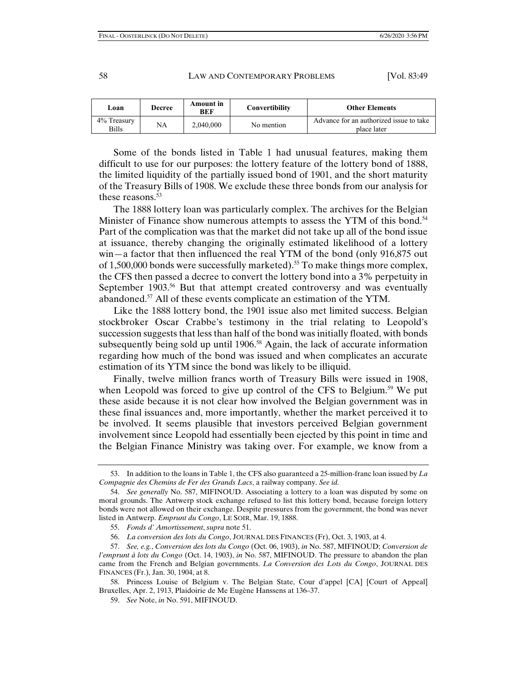| Loan                 | <b>Decree</b> | Amount in<br><b>BEF</b> | Convertibility | <b>Other Elements</b>                                  |
|----------------------|---------------|-------------------------|----------------|--------------------------------------------------------|
| 4% Treasury<br>Bills | NA            | 2.040.000               | No mention     | Advance for an authorized issue to take<br>place later |

 Some of the bonds listed in Table 1 had unusual features, making them difficult to use for our purposes: the lottery feature of the lottery bond of 1888, the limited liquidity of the partially issued bond of 1901, and the short maturity of the Treasury Bills of 1908. We exclude these three bonds from our analysis for these reasons. $53$ 

The 1888 lottery loan was particularly complex. The archives for the Belgian Minister of Finance show numerous attempts to assess the YTM of this bond.<sup>54</sup> Part of the complication was that the market did not take up all of the bond issue at issuance, thereby changing the originally estimated likelihood of a lottery win—a factor that then influenced the real YTM of the bond (only 916,875 out of 1,500,000 bonds were successfully marketed).<sup>55</sup> To make things more complex, the CFS then passed a decree to convert the lottery bond into a 3% perpetuity in September 1903.<sup>56</sup> But that attempt created controversy and was eventually abandoned.<sup>57</sup> All of these events complicate an estimation of the YTM.

Like the 1888 lottery bond, the 1901 issue also met limited success. Belgian stockbroker Oscar Crabbe's testimony in the trial relating to Leopold's succession suggests that less than half of the bond was initially floated, with bonds subsequently being sold up until  $1906$ <sup>58</sup> Again, the lack of accurate information regarding how much of the bond was issued and when complicates an accurate estimation of its YTM since the bond was likely to be illiquid.

Finally, twelve million francs worth of Treasury Bills were issued in 1908, when Leopold was forced to give up control of the CFS to Belgium.<sup>59</sup> We put these aside because it is not clear how involved the Belgian government was in these final issuances and, more importantly, whether the market perceived it to be involved. It seems plausible that investors perceived Belgian government involvement since Leopold had essentially been ejected by this point in time and the Belgian Finance Ministry was taking over. For example, we know from a

 <sup>53.</sup> In addition to the loans in Table 1, the CFS also guaranteed a 25-million-franc loan issued by *La Compagnie des Chemins de Fer des Grands Lacs*, a railway company. *See id.*

 <sup>54.</sup> *See generally* No. 587, MIFINOUD. Associating a lottery to a loan was disputed by some on moral grounds. The Antwerp stock exchange refused to list this lottery bond, because foreign lottery bonds were not allowed on their exchange. Despite pressures from the government, the bond was never listed in Antwerp. *Emprunt du Congo*, LE SOIR, Mar. 19, 1888.

 <sup>55.</sup> *Fonds d' Amortissement*, *supra* note 51.

 <sup>56.</sup> *La conversion des lots du Congo*, JOURNAL DES FINANCES (Fr), Oct. 3, 1903, at 4.

 <sup>57.</sup> *See, e.g.*, *Conversion des lots du Congo* (Oct. 06, 1903), *in* No. 587, MIFINOUD; *Conversion de l'emprunt à lots du Congo* (Oct. 14, 1903), *in* No. 587, MIFINOUD. The pressure to abandon the plan came from the French and Belgian governments. *La Conversion des Lots du Congo*, JOURNAL DES FINANCES (Fr.), Jan. 30, 1904, at 8.

 <sup>58.</sup> Princess Louise of Belgium v. The Belgian State, Cour d'appel [CA] [Court of Appeal] Bruxelles, Apr. 2, 1913, Plaidoirie de Me Eugène Hanssens at 136–37.

 <sup>59.</sup> *See* Note, *in* No. 591, MIFINOUD.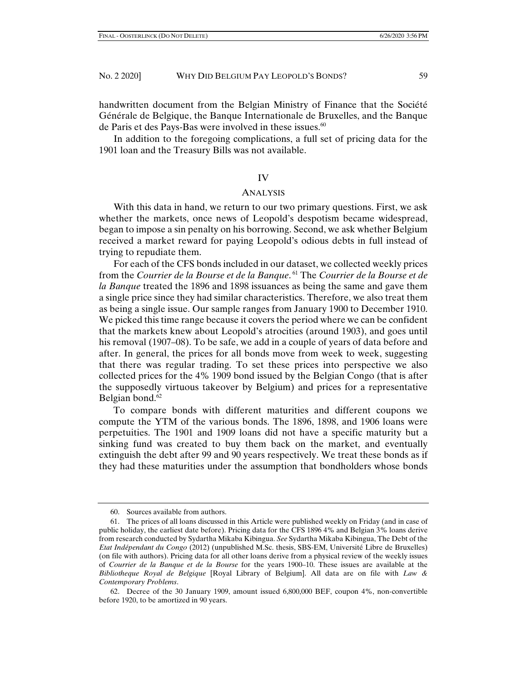handwritten document from the Belgian Ministry of Finance that the Société Générale de Belgique, the Banque Internationale de Bruxelles, and the Banque de Paris et des Pays-Bas were involved in these issues.<sup>60</sup>

In addition to the foregoing complications, a full set of pricing data for the 1901 loan and the Treasury Bills was not available.

## IV

## ANALYSIS

With this data in hand, we return to our two primary questions. First, we ask whether the markets, once news of Leopold's despotism became widespread, began to impose a sin penalty on his borrowing. Second, we ask whether Belgium received a market reward for paying Leopold's odious debts in full instead of trying to repudiate them.

For each of the CFS bonds included in our dataset, we collected weekly prices from the *Courrier de la Bourse et de la Banque*. 61 The *Courrier de la Bourse et de la Banque* treated the 1896 and 1898 issuances as being the same and gave them a single price since they had similar characteristics. Therefore, we also treat them as being a single issue. Our sample ranges from January 1900 to December 1910. We picked this time range because it covers the period where we can be confident that the markets knew about Leopold's atrocities (around 1903), and goes until his removal (1907–08). To be safe, we add in a couple of years of data before and after. In general, the prices for all bonds move from week to week, suggesting that there was regular trading. To set these prices into perspective we also collected prices for the 4% 1909 bond issued by the Belgian Congo (that is after the supposedly virtuous takeover by Belgium) and prices for a representative Belgian bond. $62$ 

To compare bonds with different maturities and different coupons we compute the YTM of the various bonds. The 1896, 1898, and 1906 loans were perpetuities. The 1901 and 1909 loans did not have a specific maturity but a sinking fund was created to buy them back on the market, and eventually extinguish the debt after 99 and 90 years respectively. We treat these bonds as if they had these maturities under the assumption that bondholders whose bonds

 <sup>60.</sup> Sources available from authors.

 <sup>61.</sup> The prices of all loans discussed in this Article were published weekly on Friday (and in case of public holiday, the earliest date before). Pricing data for the CFS 1896 4% and Belgian 3% loans derive from research conducted by Sydartha Mikaba Kibingua. *See* Sydartha Mikaba Kibingua, The Debt of the *Etat Indépendant du Congo* (2012) (unpublished M.Sc. thesis, SBS-EM, Université Libre de Bruxelles) (on file with authors). Pricing data for all other loans derive from a physical review of the weekly issues of *Courrier de la Banque et de la Bourse* for the years 1900–10. These issues are available at the *Bibliotheque Royal de Belgique* [Royal Library of Belgium]. All data are on file with *Law & Contemporary Problems*.

 <sup>62.</sup> Decree of the 30 January 1909, amount issued 6,800,000 BEF, coupon 4%, non-convertible before 1920, to be amortized in 90 years.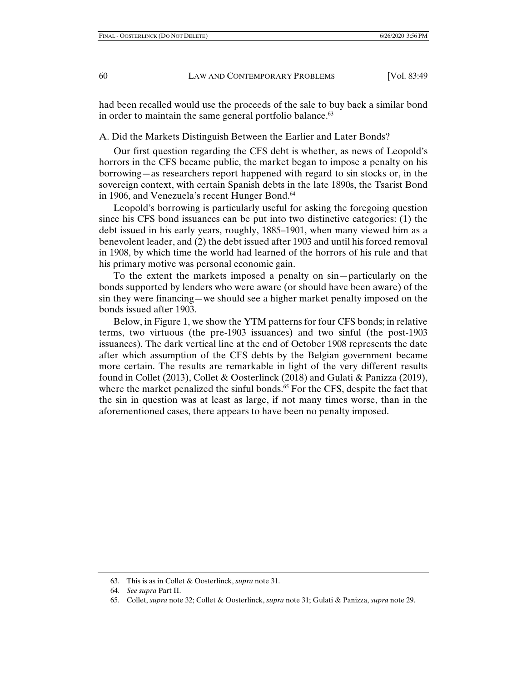had been recalled would use the proceeds of the sale to buy back a similar bond in order to maintain the same general portfolio balance.<sup>63</sup>

A. Did the Markets Distinguish Between the Earlier and Later Bonds?

Our first question regarding the CFS debt is whether, as news of Leopold's horrors in the CFS became public, the market began to impose a penalty on his borrowing—as researchers report happened with regard to sin stocks or, in the sovereign context, with certain Spanish debts in the late 1890s, the Tsarist Bond in 1906, and Venezuela's recent Hunger Bond.<sup>64</sup>

Leopold's borrowing is particularly useful for asking the foregoing question since his CFS bond issuances can be put into two distinctive categories: (1) the debt issued in his early years, roughly, 1885–1901, when many viewed him as a benevolent leader, and (2) the debt issued after 1903 and until his forced removal in 1908, by which time the world had learned of the horrors of his rule and that his primary motive was personal economic gain.

To the extent the markets imposed a penalty on sin—particularly on the bonds supported by lenders who were aware (or should have been aware) of the sin they were financing—we should see a higher market penalty imposed on the bonds issued after 1903.

Below, in Figure 1, we show the YTM patterns for four CFS bonds; in relative terms, two virtuous (the pre-1903 issuances) and two sinful (the post-1903 issuances). The dark vertical line at the end of October 1908 represents the date after which assumption of the CFS debts by the Belgian government became more certain. The results are remarkable in light of the very different results found in Collet (2013), Collet & Oosterlinck (2018) and Gulati & Panizza (2019), where the market penalized the sinful bonds.<sup>65</sup> For the CFS, despite the fact that the sin in question was at least as large, if not many times worse, than in the aforementioned cases, there appears to have been no penalty imposed.

 <sup>63.</sup> This is as in Collet & Oosterlinck, *supra* note 31.

 <sup>64.</sup> *See supra* Part II.

 <sup>65.</sup> Collet, *supra* note 32; Collet & Oosterlinck, *supra* note 31; Gulati & Panizza, *supra* note 29.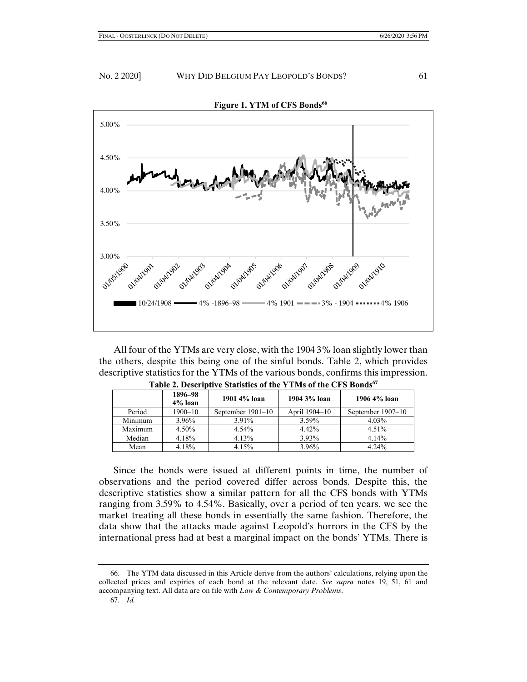

 All four of the YTMs are very close, with the 1904 3% loan slightly lower than the others, despite this being one of the sinful bonds. Table 2, which provides descriptive statistics for the YTMs of the various bonds, confirms this impression.

|         | 1896–98<br>4% loan | 1901 4% loan      | 1904 3% loan  | 1906 4% loan      |
|---------|--------------------|-------------------|---------------|-------------------|
| Period  | $1900 - 10$        | September 1901–10 | April 1904–10 | September 1907–10 |
| Minimum | 3.96%              | 3.91%             | 3.59%         | 4.03%             |
| Maximum | 4.50%              | 4.54%             | 4.42%         | 4.51%             |
| Median  | 4.18%              | 4.13%             | 3.93%         | $4.14\%$          |
| Mean    | 4.18%              | 4.15%             | 3.96%         | $4.24\%$          |

|  |  | Table 2. Descriptive Statistics of the YTMs of the CFS Bonds67 |  |  |  |  |  |  |
|--|--|----------------------------------------------------------------|--|--|--|--|--|--|
|--|--|----------------------------------------------------------------|--|--|--|--|--|--|

 Since the bonds were issued at different points in time, the number of observations and the period covered differ across bonds. Despite this, the descriptive statistics show a similar pattern for all the CFS bonds with YTMs ranging from 3.59% to 4.54%. Basically, over a period of ten years, we see the market treating all these bonds in essentially the same fashion. Therefore, the data show that the attacks made against Leopold's horrors in the CFS by the international press had at best a marginal impact on the bonds' YTMs. There is

 <sup>66.</sup> The YTM data discussed in this Article derive from the authors' calculations, relying upon the collected prices and expiries of each bond at the relevant date. *See supra* notes 19, 51, 61 and accompanying text. All data are on file with *Law & Contemporary Problems*.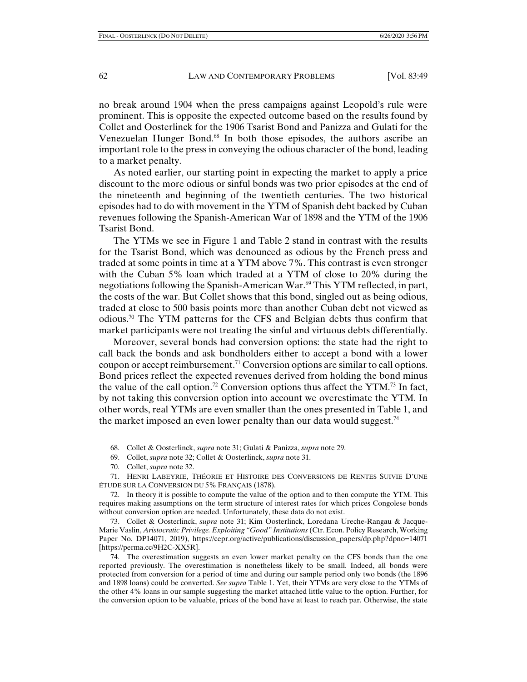no break around 1904 when the press campaigns against Leopold's rule were prominent. This is opposite the expected outcome based on the results found by Collet and Oosterlinck for the 1906 Tsarist Bond and Panizza and Gulati for the Venezuelan Hunger Bond.68 In both those episodes, the authors ascribe an important role to the press in conveying the odious character of the bond, leading to a market penalty.

As noted earlier, our starting point in expecting the market to apply a price discount to the more odious or sinful bonds was two prior episodes at the end of the nineteenth and beginning of the twentieth centuries. The two historical episodes had to do with movement in the YTM of Spanish debt backed by Cuban revenues following the Spanish-American War of 1898 and the YTM of the 1906 Tsarist Bond.

The YTMs we see in Figure 1 and Table 2 stand in contrast with the results for the Tsarist Bond, which was denounced as odious by the French press and traded at some points in time at a YTM above 7%. This contrast is even stronger with the Cuban 5% loan which traded at a YTM of close to 20% during the negotiations following the Spanish-American War.<sup>69</sup> This YTM reflected, in part, the costs of the war. But Collet shows that this bond, singled out as being odious, traded at close to 500 basis points more than another Cuban debt not viewed as odious.70 The YTM patterns for the CFS and Belgian debts thus confirm that market participants were not treating the sinful and virtuous debts differentially.

Moreover, several bonds had conversion options: the state had the right to call back the bonds and ask bondholders either to accept a bond with a lower coupon or accept reimbursement.<sup>71</sup> Conversion options are similar to call options. Bond prices reflect the expected revenues derived from holding the bond minus the value of the call option.<sup>72</sup> Conversion options thus affect the YTM.<sup>73</sup> In fact, by not taking this conversion option into account we overestimate the YTM. In other words, real YTMs are even smaller than the ones presented in Table 1, and the market imposed an even lower penalty than our data would suggest.<sup>74</sup>

 72. In theory it is possible to compute the value of the option and to then compute the YTM. This requires making assumptions on the term structure of interest rates for which prices Congolese bonds without conversion option are needed. Unfortunately, these data do not exist.

 73. Collet & Oosterlinck, *supra* note 31; Kim Oosterlinck, Loredana Ureche-Rangau & Jacque-Marie Vaslin, *Aristocratic Privilege. Exploiting "Good" Institutions* (Ctr. Econ. Policy Research, Working Paper No. DP14071, 2019), https://cepr.org/active/publications/discussion\_papers/dp.php?dpno=14071 [https://perma.cc/9H2C-XX5R].

 74. The overestimation suggests an even lower market penalty on the CFS bonds than the one reported previously. The overestimation is nonetheless likely to be small. Indeed, all bonds were protected from conversion for a period of time and during our sample period only two bonds (the 1896 and 1898 loans) could be converted. *See supra* Table 1. Yet, their YTMs are very close to the YTMs of the other 4% loans in our sample suggesting the market attached little value to the option. Further, for the conversion option to be valuable, prices of the bond have at least to reach par. Otherwise, the state

 <sup>68.</sup> Collet & Oosterlinck, *supra* note 31; Gulati & Panizza, *supra* note 29.

 <sup>69.</sup> Collet, *supra* note 32; Collet & Oosterlinck, *supra* note 31.

 <sup>70.</sup> Collet, *supra* note 32.

 <sup>71.</sup> HENRI LABEYRIE, THÉORIE ET HISTOIRE DES CONVERSIONS DE RENTES SUIVIE D'UNE ÉTUDE SUR LA CONVERSION DU 5% FRANÇAIS (1878).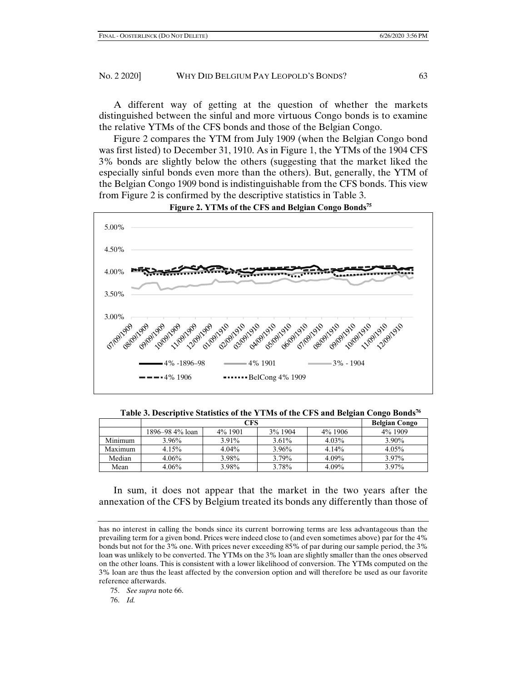A different way of getting at the question of whether the markets distinguished between the sinful and more virtuous Congo bonds is to examine the relative YTMs of the CFS bonds and those of the Belgian Congo.

Figure 2 compares the YTM from July 1909 (when the Belgian Congo bond was first listed) to December 31, 1910. As in Figure 1, the YTMs of the 1904 CFS 3% bonds are slightly below the others (suggesting that the market liked the especially sinful bonds even more than the others). But, generally, the YTM of the Belgian Congo 1909 bond is indistinguishable from the CFS bonds. This view from Figure 2 is confirmed by the descriptive statistics in Table 3.



**Figure 2. YTMs of the CFS and Belgian Congo Bonds<sup>75</sup>**

**Table 3. Descriptive Statistics of the YTMs of the CFS and Belgian Congo Bonds<sup>76</sup>**

|         |                 | <b>Belgian Congo</b> |          |          |         |
|---------|-----------------|----------------------|----------|----------|---------|
|         | 1896–98 4% loan | 4% 1901              | 3% 1904  | 4% 1906  | 4% 1909 |
| Minimum | $3.96\%$        | 3.91%                | $3.61\%$ | 4.03%    | 3.90%   |
| Maximum | $4.15\%$        | $4.04\%$             | 3.96%    | $4.14\%$ | 4.05%   |
| Median  | $4.06\%$        | 3.98%                | 3.79%    | 4.09%    | 3.97%   |
| Mean    | $4.06\%$        | 3.98%                | 3.78%    | 4.09%    | 3.97%   |

 In sum, it does not appear that the market in the two years after the annexation of the CFS by Belgium treated its bonds any differently than those of

has no interest in calling the bonds since its current borrowing terms are less advantageous than the prevailing term for a given bond. Prices were indeed close to (and even sometimes above) par for the 4% bonds but not for the 3% one. With prices never exceeding 85% of par during our sample period, the 3% loan was unlikely to be converted. The YTMs on the 3% loan are slightly smaller than the ones observed on the other loans. This is consistent with a lower likelihood of conversion. The YTMs computed on the 3% loan are thus the least affected by the conversion option and will therefore be used as our favorite reference afterwards.

 <sup>75.</sup> *See supra* note 66.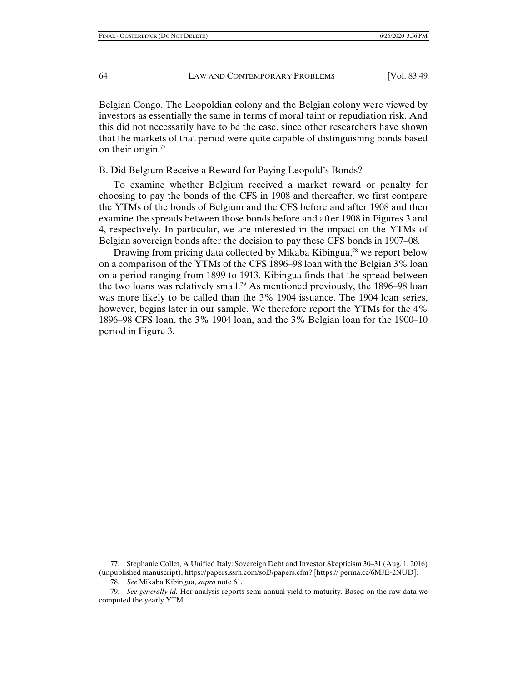Belgian Congo. The Leopoldian colony and the Belgian colony were viewed by investors as essentially the same in terms of moral taint or repudiation risk. And this did not necessarily have to be the case, since other researchers have shown that the markets of that period were quite capable of distinguishing bonds based on their origin.<sup>77</sup>

## B. Did Belgium Receive a Reward for Paying Leopold's Bonds?

To examine whether Belgium received a market reward or penalty for choosing to pay the bonds of the CFS in 1908 and thereafter, we first compare the YTMs of the bonds of Belgium and the CFS before and after 1908 and then examine the spreads between those bonds before and after 1908 in Figures 3 and 4, respectively. In particular, we are interested in the impact on the YTMs of Belgian sovereign bonds after the decision to pay these CFS bonds in 1907–08.

Drawing from pricing data collected by Mikaba Kibingua, $\frac{7}{8}$  we report below on a comparison of the YTMs of the CFS 1896–98 loan with the Belgian 3% loan on a period ranging from 1899 to 1913. Kibingua finds that the spread between the two loans was relatively small.<sup>79</sup> As mentioned previously, the  $1896-98$  loan was more likely to be called than the 3% 1904 issuance. The 1904 loan series, however, begins later in our sample. We therefore report the YTMs for the 4% 1896–98 CFS loan, the 3% 1904 loan, and the 3% Belgian loan for the 1900–10 period in Figure 3.

 <sup>77.</sup> Stephanie Collet, A Unified Italy: Sovereign Debt and Investor Skepticism 30–31 (Aug, 1, 2016) (unpublished manuscript), https://papers.ssrn.com/sol3/papers.cfm? [https:// perma.cc/6MJE-2NUD].

 <sup>78.</sup> *See* Mikaba Kibingua, *supra* note 61.

 <sup>79.</sup> *See generally id.* Her analysis reports semi-annual yield to maturity. Based on the raw data we computed the yearly YTM.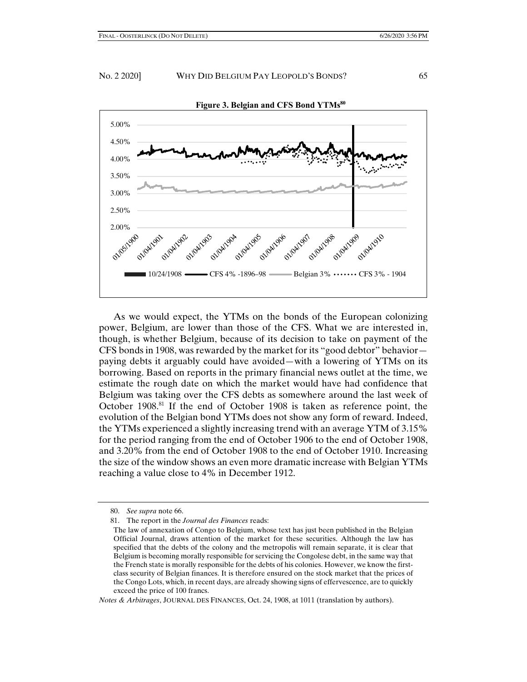

 As we would expect, the YTMs on the bonds of the European colonizing power, Belgium, are lower than those of the CFS. What we are interested in, though, is whether Belgium, because of its decision to take on payment of the CFS bonds in 1908, was rewarded by the market for its "good debtor" behavior paying debts it arguably could have avoided—with a lowering of YTMs on its borrowing. Based on reports in the primary financial news outlet at the time, we estimate the rough date on which the market would have had confidence that Belgium was taking over the CFS debts as somewhere around the last week of October  $1908$ .<sup>81</sup> If the end of October 1908 is taken as reference point, the evolution of the Belgian bond YTMs does not show any form of reward. Indeed, the YTMs experienced a slightly increasing trend with an average YTM of 3.15% for the period ranging from the end of October 1906 to the end of October 1908, and 3.20% from the end of October 1908 to the end of October 1910. Increasing the size of the window shows an even more dramatic increase with Belgian YTMs reaching a value close to 4% in December 1912.

 <sup>80.</sup> *See supra* note 66.

 <sup>81.</sup> The report in the *Journal des Finances* reads:

The law of annexation of Congo to Belgium, whose text has just been published in the Belgian Official Journal, draws attention of the market for these securities. Although the law has specified that the debts of the colony and the metropolis will remain separate, it is clear that Belgium is becoming morally responsible for servicing the Congolese debt, in the same way that the French state is morally responsible for the debts of his colonies. However, we know the firstclass security of Belgian finances. It is therefore ensured on the stock market that the prices of the Congo Lots, which, in recent days, are already showing signs of effervescence, are to quickly exceed the price of 100 francs.

*Notes & Arbitrages*, JOURNAL DES FINANCES, Oct. 24, 1908, at 1011 (translation by authors).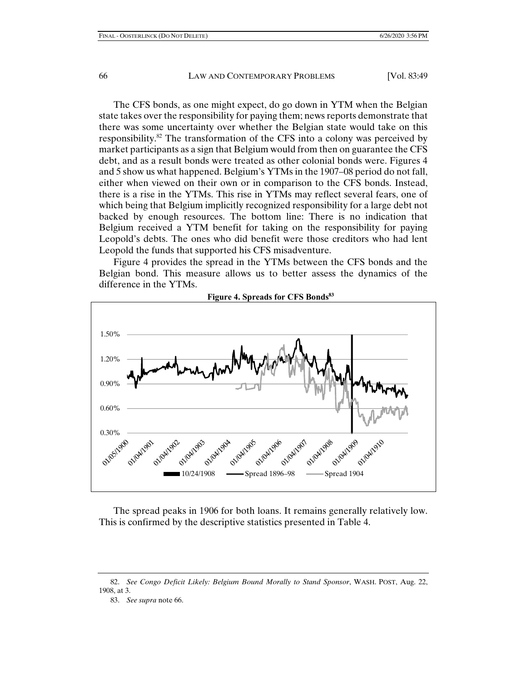The CFS bonds, as one might expect, do go down in YTM when the Belgian state takes over the responsibility for paying them; news reports demonstrate that there was some uncertainty over whether the Belgian state would take on this responsibility.<sup>82</sup> The transformation of the CFS into a colony was perceived by market participants as a sign that Belgium would from then on guarantee the CFS debt, and as a result bonds were treated as other colonial bonds were. Figures 4 and 5 show us what happened. Belgium's YTMs in the 1907–08 period do not fall, either when viewed on their own or in comparison to the CFS bonds. Instead, there is a rise in the YTMs. This rise in YTMs may reflect several fears, one of which being that Belgium implicitly recognized responsibility for a large debt not backed by enough resources. The bottom line: There is no indication that Belgium received a YTM benefit for taking on the responsibility for paying Leopold's debts. The ones who did benefit were those creditors who had lent Leopold the funds that supported his CFS misadventure.

Figure 4 provides the spread in the YTMs between the CFS bonds and the Belgian bond. This measure allows us to better assess the dynamics of the difference in the YTMs.



**Figure 4. Spreads for CFS Bonds<sup>83</sup>**

 The spread peaks in 1906 for both loans. It remains generally relatively low. This is confirmed by the descriptive statistics presented in Table 4.

 <sup>82.</sup> *See Congo Deficit Likely: Belgium Bound Morally to Stand Sponsor*, WASH. POST, Aug. 22, 1908, at 3.

 <sup>83.</sup> *See supra* note 66.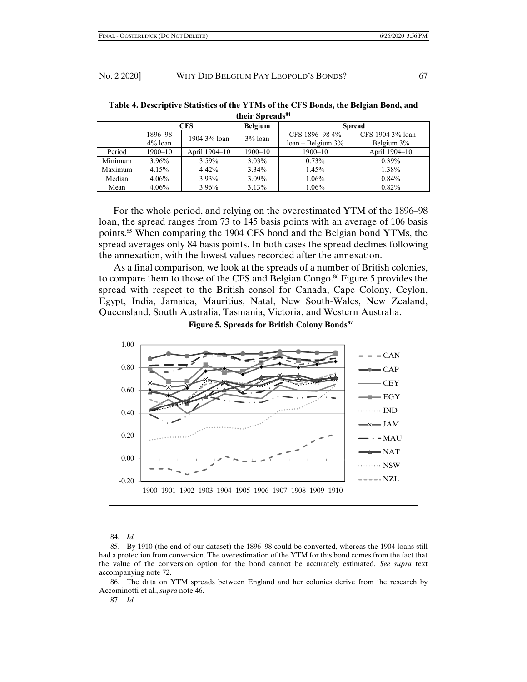|         | CFS        |               | <b>Belgium</b> | <b>Spread</b>       |                         |  |
|---------|------------|---------------|----------------|---------------------|-------------------------|--|
|         | 1896–98    | 1904 3% loan  |                | CFS 1896-98 4%      | CFS 1904 $3\%$ loan $-$ |  |
|         | $4\%$ loan |               | $3\%$ loan     | $loan - Belgium 3%$ | Belgium 3%              |  |
| Period  | 1900–10    | April 1904–10 | $1900 - 10$    | $1900 - 10$         | April 1904-10           |  |
| Minimum | 3.96%      | 3.59%         | 3.03%          | 0.73%               | 0.39%                   |  |
| Maximum | 4.15%      | 4.42%         | 3.34%          | 1.45%               | 1.38%                   |  |
| Median  | 4.06%      | 3.93%         | 3.09%          | 1.06%               | 0.84%                   |  |
| Mean    | 4.06%      | 3.96%         | 3.13%          | 1.06%               | 0.82%                   |  |

**Table 4. Descriptive Statistics of the YTMs of the CFS Bonds, the Belgian Bond, and their Spreads<sup>84</sup>**

 For the whole period, and relying on the overestimated YTM of the 1896–98 loan, the spread ranges from 73 to 145 basis points with an average of 106 basis points.85 When comparing the 1904 CFS bond and the Belgian bond YTMs, the spread averages only 84 basis points. In both cases the spread declines following the annexation, with the lowest values recorded after the annexation.

As a final comparison, we look at the spreads of a number of British colonies, to compare them to those of the CFS and Belgian Congo.<sup>86</sup> Figure 5 provides the spread with respect to the British consol for Canada, Cape Colony, Ceylon, Egypt, India, Jamaica, Mauritius, Natal, New South-Wales, New Zealand, Queensland, South Australia, Tasmania, Victoria, and Western Australia.



**Figure 5. Spreads for British Colony Bonds<sup>87</sup>**

 <sup>84.</sup> *Id.*

 <sup>85.</sup> By 1910 (the end of our dataset) the 1896–98 could be converted, whereas the 1904 loans still had a protection from conversion. The overestimation of the YTM for this bond comes from the fact that the value of the conversion option for the bond cannot be accurately estimated. *See supra* text accompanying note 72.

 <sup>86.</sup> The data on YTM spreads between England and her colonies derive from the research by Accominotti et al., *supra* note 46.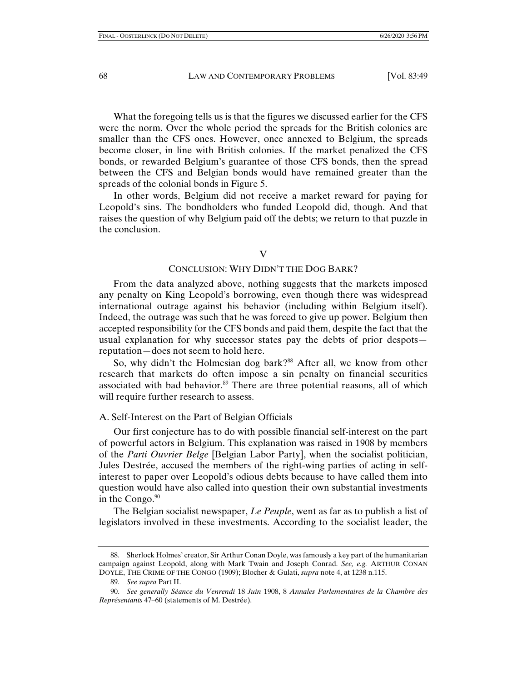What the foregoing tells us is that the figures we discussed earlier for the CFS were the norm. Over the whole period the spreads for the British colonies are smaller than the CFS ones. However, once annexed to Belgium, the spreads become closer, in line with British colonies. If the market penalized the CFS bonds, or rewarded Belgium's guarantee of those CFS bonds, then the spread between the CFS and Belgian bonds would have remained greater than the spreads of the colonial bonds in Figure 5.

In other words, Belgium did not receive a market reward for paying for Leopold's sins. The bondholders who funded Leopold did, though. And that raises the question of why Belgium paid off the debts; we return to that puzzle in the conclusion.

#### V

# CONCLUSION: WHY DIDN'T THE DOG BARK?

From the data analyzed above, nothing suggests that the markets imposed any penalty on King Leopold's borrowing, even though there was widespread international outrage against his behavior (including within Belgium itself). Indeed, the outrage was such that he was forced to give up power. Belgium then accepted responsibility for the CFS bonds and paid them, despite the fact that the usual explanation for why successor states pay the debts of prior despots reputation—does not seem to hold here.

So, why didn't the Holmesian dog bark?<sup>88</sup> After all, we know from other research that markets do often impose a sin penalty on financial securities associated with bad behavior.<sup>89</sup> There are three potential reasons, all of which will require further research to assess.

#### A. Self-Interest on the Part of Belgian Officials

Our first conjecture has to do with possible financial self-interest on the part of powerful actors in Belgium. This explanation was raised in 1908 by members of the *Parti Ouvrier Belge* [Belgian Labor Party], when the socialist politician, Jules Destrée, accused the members of the right-wing parties of acting in selfinterest to paper over Leopold's odious debts because to have called them into question would have also called into question their own substantial investments in the Congo. $90$ 

The Belgian socialist newspaper, *Le Peuple*, went as far as to publish a list of legislators involved in these investments. According to the socialist leader, the

 90. *See generally Séance du Venrendi* 18 *Juin* 1908, 8 *Annales Parlementaires de la Chambre des Représentants* 47–60 (statements of M. Destrée).

 <sup>88.</sup> Sherlock Holmes' creator, Sir Arthur Conan Doyle, was famously a key part of the humanitarian campaign against Leopold, along with Mark Twain and Joseph Conrad. *See, e.g.* ARTHUR CONAN DOYLE, THE CRIME OF THE CONGO (1909); Blocher & Gulati, *supra* note 4, at 1238 n.115.

 <sup>89.</sup> *See supra* Part II.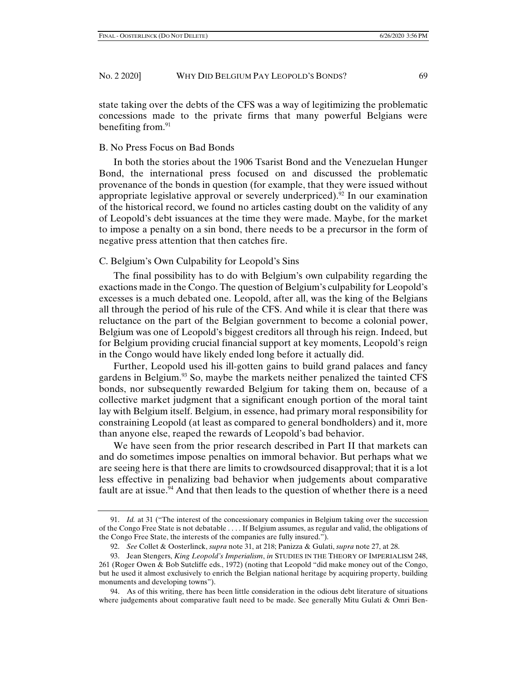state taking over the debts of the CFS was a way of legitimizing the problematic concessions made to the private firms that many powerful Belgians were benefiting from.<sup>91</sup>

## B. No Press Focus on Bad Bonds

In both the stories about the 1906 Tsarist Bond and the Venezuelan Hunger Bond, the international press focused on and discussed the problematic provenance of the bonds in question (for example, that they were issued without appropriate legislative approval or severely underpriced).<sup>92</sup> In our examination of the historical record, we found no articles casting doubt on the validity of any of Leopold's debt issuances at the time they were made. Maybe, for the market to impose a penalty on a sin bond, there needs to be a precursor in the form of negative press attention that then catches fire.

# C. Belgium's Own Culpability for Leopold's Sins

The final possibility has to do with Belgium's own culpability regarding the exactions made in the Congo. The question of Belgium's culpability for Leopold's excesses is a much debated one. Leopold, after all, was the king of the Belgians all through the period of his rule of the CFS. And while it is clear that there was reluctance on the part of the Belgian government to become a colonial power, Belgium was one of Leopold's biggest creditors all through his reign. Indeed, but for Belgium providing crucial financial support at key moments, Leopold's reign in the Congo would have likely ended long before it actually did.

Further, Leopold used his ill-gotten gains to build grand palaces and fancy gardens in Belgium.<sup>93</sup> So, maybe the markets neither penalized the tainted CFS bonds, nor subsequently rewarded Belgium for taking them on, because of a collective market judgment that a significant enough portion of the moral taint lay with Belgium itself. Belgium, in essence, had primary moral responsibility for constraining Leopold (at least as compared to general bondholders) and it, more than anyone else, reaped the rewards of Leopold's bad behavior.

We have seen from the prior research described in Part II that markets can and do sometimes impose penalties on immoral behavior. But perhaps what we are seeing here is that there are limits to crowdsourced disapproval; that it is a lot less effective in penalizing bad behavior when judgements about comparative fault are at issue.<sup>94</sup> And that then leads to the question of whether there is a need

 <sup>91.</sup> *Id.* at 31 ("The interest of the concessionary companies in Belgium taking over the succession of the Congo Free State is not debatable . . . . If Belgium assumes, as regular and valid, the obligations of the Congo Free State, the interests of the companies are fully insured.").

 <sup>92.</sup> *See* Collet & Oosterlinck, *supra* note 31, at 218; Panizza & Gulati, *supra* note 27, at 28.

 <sup>93.</sup> Jean Stengers, *King Leopold's Imperialism*, *in* STUDIES IN THE THEORY OF IMPERIALISM 248, 261 (Roger Owen & Bob Sutcliffe eds., 1972) (noting that Leopold "did make money out of the Congo, but he used it almost exclusively to enrich the Belgian national heritage by acquiring property, building monuments and developing towns").

 <sup>94.</sup> As of this writing, there has been little consideration in the odious debt literature of situations where judgements about comparative fault need to be made. See generally Mitu Gulati & Omri Ben-